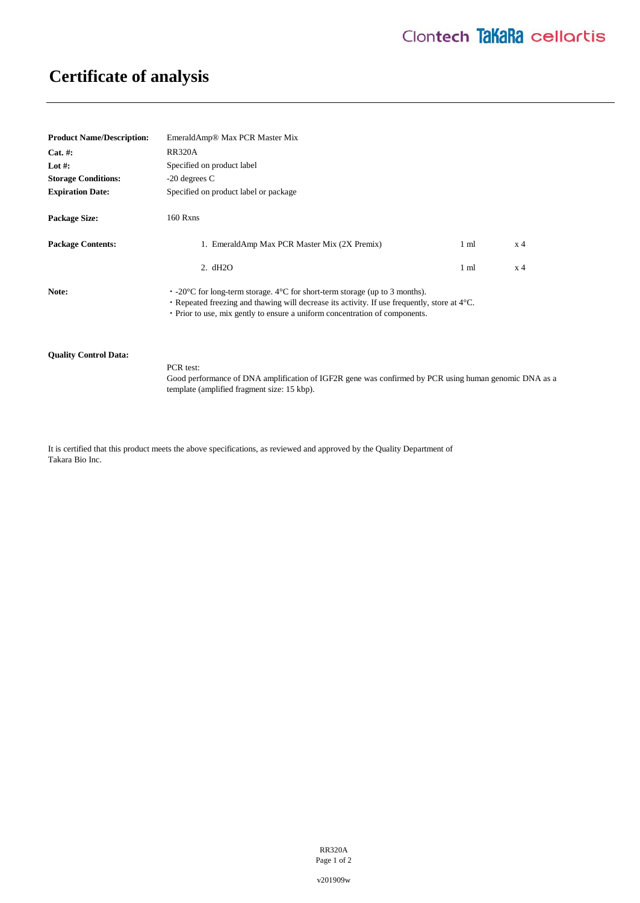## **Certificate of analysis**

| <b>Product Name/Description:</b> | EmeraldAmp <sup>®</sup> Max PCR Master Mix                                                                                                                                                                                                                                   |                |                |
|----------------------------------|------------------------------------------------------------------------------------------------------------------------------------------------------------------------------------------------------------------------------------------------------------------------------|----------------|----------------|
| $Cat. \#:$                       | <b>RR320A</b>                                                                                                                                                                                                                                                                |                |                |
| Lot #:                           | Specified on product label                                                                                                                                                                                                                                                   |                |                |
| <b>Storage Conditions:</b>       | $-20$ degrees C                                                                                                                                                                                                                                                              |                |                |
| <b>Expiration Date:</b>          | Specified on product label or package                                                                                                                                                                                                                                        |                |                |
| <b>Package Size:</b>             | <b>160 Rxns</b>                                                                                                                                                                                                                                                              |                |                |
| <b>Package Contents:</b>         | 1. EmeraldAmp Max PCR Master Mix (2X Premix)                                                                                                                                                                                                                                 | $1 \text{ ml}$ | x 4            |
|                                  | 2. dH2O                                                                                                                                                                                                                                                                      | $1 \text{ ml}$ | x <sub>4</sub> |
| Note:                            | $\cdot$ -20 °C for long-term storage. 4 °C for short-term storage (up to 3 months).<br>• Repeated freezing and thawing will decrease its activity. If use frequently, store at $4^{\circ}$ C.<br>• Prior to use, mix gently to ensure a uniform concentration of components. |                |                |
| <b>Ouality Control Data:</b>     |                                                                                                                                                                                                                                                                              |                |                |

PCR test: Good performance of DNA amplification of IGF2R gene was confirmed by PCR using human genomic DNA as a template (amplified fragment size: 15 kbp).

It is certified that this product meets the above specifications, as reviewed and approved by the Quality Department of Takara Bio Inc.

> RR320A Page 1 of 2

v201909w